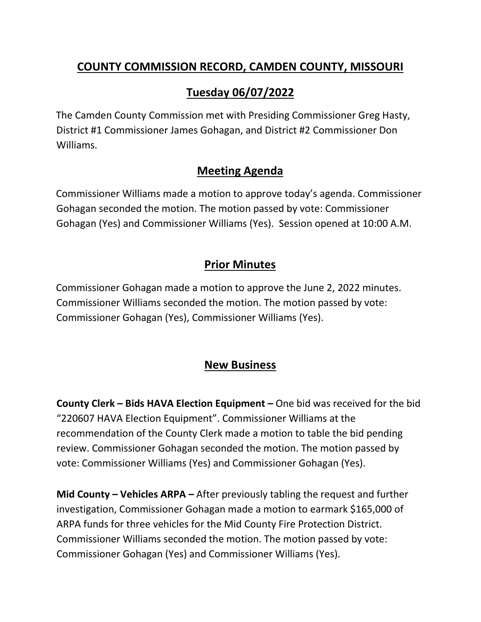### **COUNTY COMMISSION RECORD, CAMDEN COUNTY, MISSOURI**

# **Tuesday 06/07/2022**

The Camden County Commission met with Presiding Commissioner Greg Hasty, District #1 Commissioner James Gohagan, and District #2 Commissioner Don Williams.

#### **Meeting Agenda**

Commissioner Williams made a motion to approve today's agenda. Commissioner Gohagan seconded the motion. The motion passed by vote: Commissioner Gohagan (Yes) and Commissioner Williams (Yes). Session opened at 10:00 A.M.

## **Prior Minutes**

Commissioner Gohagan made a motion to approve the June 2, 2022 minutes. Commissioner Williams seconded the motion. The motion passed by vote: Commissioner Gohagan (Yes), Commissioner Williams (Yes).

## **New Business**

**County Clerk – Bids HAVA Election Equipment –** One bid was received for the bid "220607 HAVA Election Equipment". Commissioner Williams at the recommendation of the County Clerk made a motion to table the bid pending review. Commissioner Gohagan seconded the motion. The motion passed by vote: Commissioner Williams (Yes) and Commissioner Gohagan (Yes).

**Mid County – Vehicles ARPA –** After previously tabling the request and further investigation, Commissioner Gohagan made a motion to earmark \$165,000 of ARPA funds for three vehicles for the Mid County Fire Protection District. Commissioner Williams seconded the motion. The motion passed by vote: Commissioner Gohagan (Yes) and Commissioner Williams (Yes).